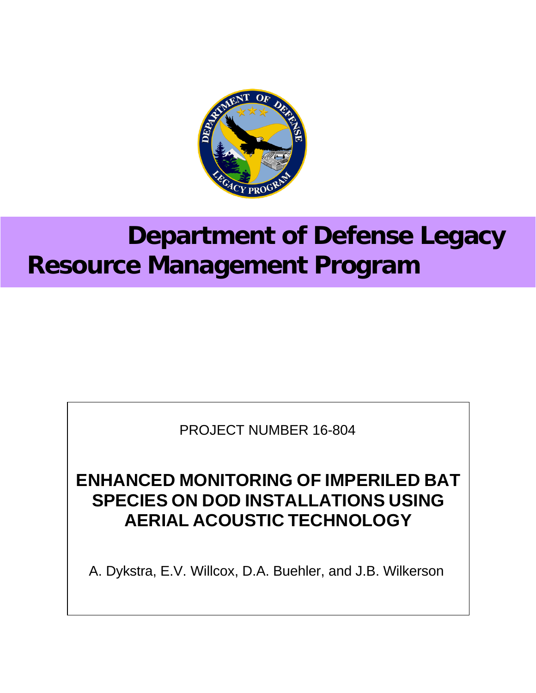

# **Department of Defense Legacy Resource Management Program**

PROJECT NUMBER 16-804

# **ENHANCED MONITORING OF IMPERILED BAT SPECIES ON DOD INSTALLATIONS USING AERIAL ACOUSTIC TECHNOLOGY**

A. Dykstra, E.V. Willcox, D.A. Buehler, and J.B. Wilkerson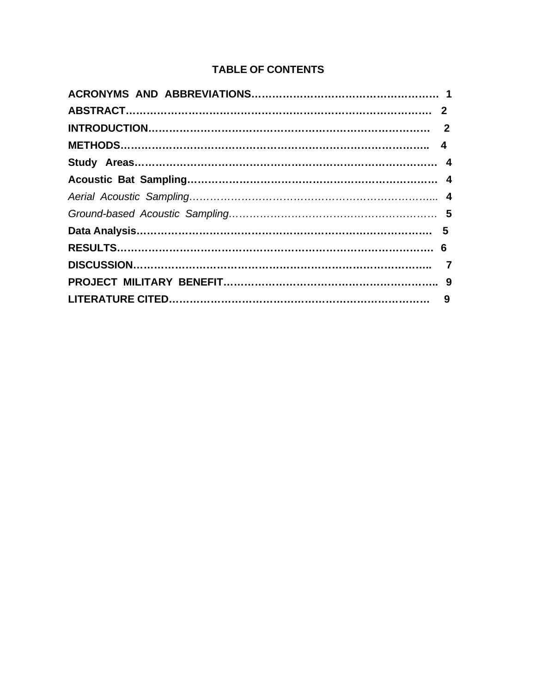## **TABLE OF CONTENTS**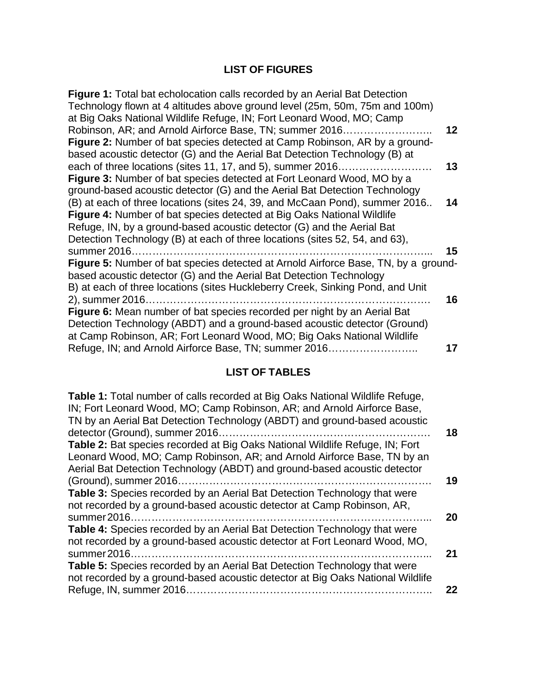# **LIST OF FIGURES**

| Figure 1: Total bat echolocation calls recorded by an Aerial Bat Detection         |    |
|------------------------------------------------------------------------------------|----|
| Technology flown at 4 altitudes above ground level (25m, 50m, 75m and 100m)        |    |
| at Big Oaks National Wildlife Refuge, IN; Fort Leonard Wood, MO; Camp              |    |
| Robinson, AR; and Arnold Airforce Base, TN; summer 2016                            | 12 |
| <b>Figure 2:</b> Number of bat species detected at Camp Robinson, AR by a ground-  |    |
| based acoustic detector (G) and the Aerial Bat Detection Technology (B) at         |    |
| each of three locations (sites 11, 17, and 5), summer 2016                         | 13 |
| Figure 3: Number of bat species detected at Fort Leonard Wood, MO by a             |    |
| ground-based acoustic detector (G) and the Aerial Bat Detection Technology         |    |
| (B) at each of three locations (sites 24, 39, and McCaan Pond), summer 2016        | 14 |
| <b>Figure 4:</b> Number of bat species detected at Big Oaks National Wildlife      |    |
| Refuge, IN, by a ground-based acoustic detector (G) and the Aerial Bat             |    |
| Detection Technology (B) at each of three locations (sites 52, 54, and 63),        |    |
| summer 2016                                                                        | 15 |
| Figure 5: Number of bat species detected at Arnold Airforce Base, TN, by a ground- |    |
| based acoustic detector (G) and the Aerial Bat Detection Technology                |    |
| B) at each of three locations (sites Huckleberry Creek, Sinking Pond, and Unit     |    |
| 2), summer 2016                                                                    | 16 |
| Figure 6: Mean number of bat species recorded per night by an Aerial Bat           |    |
| Detection Technology (ABDT) and a ground-based acoustic detector (Ground)          |    |
| at Camp Robinson, AR; Fort Leonard Wood, MO; Big Oaks National Wildlife            |    |
| Refuge, IN; and Arnold Airforce Base, TN; summer 2016                              | 17 |
|                                                                                    |    |

## **LIST OF TABLES**

| Table 1: Total number of calls recorded at Big Oaks National Wildlife Refuge,<br>IN; Fort Leonard Wood, MO; Camp Robinson, AR; and Arnold Airforce Base, |
|----------------------------------------------------------------------------------------------------------------------------------------------------------|
| TN by an Aerial Bat Detection Technology (ABDT) and ground-based acoustic                                                                                |
| 18                                                                                                                                                       |
| Table 2: Bat species recorded at Big Oaks National Wildlife Refuge, IN; Fort                                                                             |
| Leonard Wood, MO; Camp Robinson, AR; and Arnold Airforce Base, TN by an                                                                                  |
| Aerial Bat Detection Technology (ABDT) and ground-based acoustic detector                                                                                |
| 19                                                                                                                                                       |
| Table 3: Species recorded by an Aerial Bat Detection Technology that were                                                                                |
| not recorded by a ground-based acoustic detector at Camp Robinson, AR,                                                                                   |
| summer 2016<br>20                                                                                                                                        |
| <b>Table 4:</b> Species recorded by an Aerial Bat Detection Technology that were                                                                         |
| not recorded by a ground-based acoustic detector at Fort Leonard Wood, MO,                                                                               |
| 21                                                                                                                                                       |
| <b>Table 5:</b> Species recorded by an Aerial Bat Detection Technology that were                                                                         |
| not recorded by a ground-based acoustic detector at Big Oaks National Wildlife                                                                           |
| 22                                                                                                                                                       |
|                                                                                                                                                          |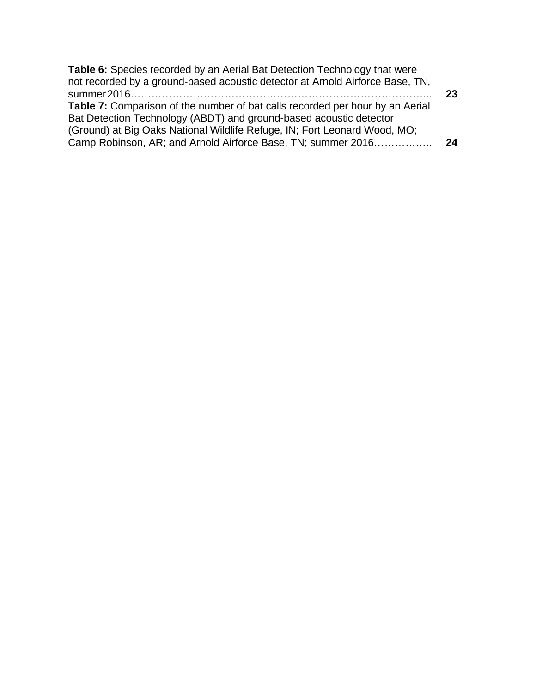| <b>Table 6:</b> Species recorded by an Aerial Bat Detection Technology that were     |    |
|--------------------------------------------------------------------------------------|----|
| not recorded by a ground-based acoustic detector at Arnold Airforce Base, TN,        |    |
| <b>Table 7:</b> Comparison of the number of bat calls recorded per hour by an Aerial | 23 |
| Bat Detection Technology (ABDT) and ground-based acoustic detector                   |    |
| (Ground) at Big Oaks National Wildlife Refuge, IN; Fort Leonard Wood, MO;            |    |
| Camp Robinson, AR; and Arnold Airforce Base, TN; summer 2016                         | 24 |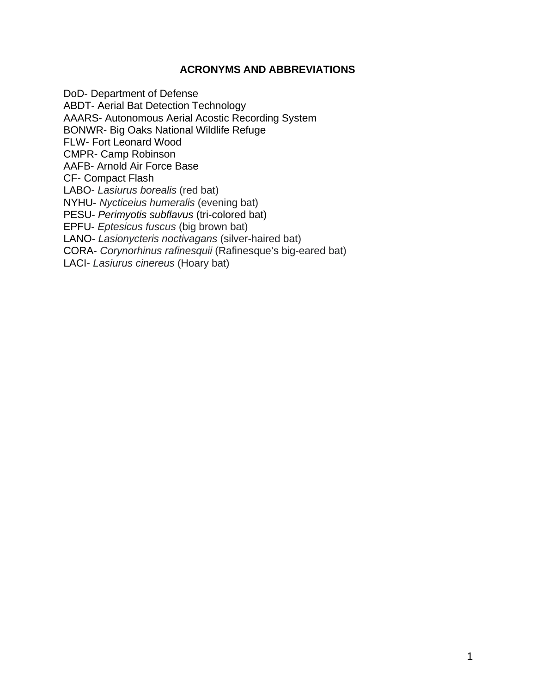#### **ACRONYMS AND ABBREVIATIONS**

DoD- Department of Defense ABDT- Aerial Bat Detection Technology AAARS- Autonomous Aerial Acostic Recording System BONWR- Big Oaks National Wildlife Refuge FLW- Fort Leonard Wood CMPR- Camp Robinson AAFB- Arnold Air Force Base CF- Compact Flash LABO- *Lasiurus borealis* (red bat) NYHU- *Nycticeius humeralis* (evening bat) PESU- *Perimyotis subflavus* (tri-colored bat) EPFU- *Eptesicus fuscus* (big brown bat) LANO- *Lasionycteris noctivagans* (silver-haired bat) CORA- *Corynorhinus rafinesquii* (Rafinesque's big-eared bat) LACI- *Lasiurus cinereus* (Hoary bat)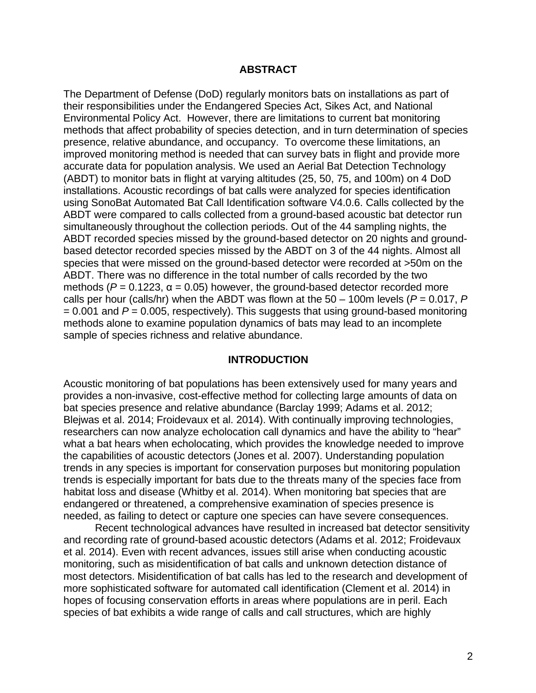#### **ABSTRACT**

The Department of Defense (DoD) regularly monitors bats on installations as part of their responsibilities under the Endangered Species Act, Sikes Act, and National Environmental Policy Act. However, there are limitations to current bat monitoring methods that affect probability of species detection, and in turn determination of species presence, relative abundance, and occupancy. To overcome these limitations, an improved monitoring method is needed that can survey bats in flight and provide more accurate data for population analysis. We used an Aerial Bat Detection Technology (ABDT) to monitor bats in flight at varying altitudes (25, 50, 75, and 100m) on 4 DoD installations. Acoustic recordings of bat calls were analyzed for species identification using SonoBat Automated Bat Call Identification software V4.0.6. Calls collected by the ABDT were compared to calls collected from a ground-based acoustic bat detector run simultaneously throughout the collection periods. Out of the 44 sampling nights, the ABDT recorded species missed by the ground-based detector on 20 nights and groundbased detector recorded species missed by the ABDT on 3 of the 44 nights. Almost all species that were missed on the ground-based detector were recorded at >50m on the ABDT. There was no difference in the total number of calls recorded by the two methods ( $P = 0.1223$ ,  $α = 0.05$ ) however, the ground-based detector recorded more calls per hour (calls/hr) when the ABDT was flown at the  $50 - 100$ m levels ( $P = 0.017$ ,  $P = 0.017$ = 0.001 and *P* = 0.005, respectively). This suggests that using ground-based monitoring methods alone to examine population dynamics of bats may lead to an incomplete sample of species richness and relative abundance.

#### **INTRODUCTION**

Acoustic monitoring of bat populations has been extensively used for many years and provides a non-invasive, cost-effective method for collecting large amounts of data on bat species presence and relative abundance (Barclay 1999; Adams et al. 2012; Blejwas et al. 2014; Froidevaux et al. 2014). With continually improving technologies, researchers can now analyze echolocation call dynamics and have the ability to "hear" what a bat hears when echolocating, which provides the knowledge needed to improve the capabilities of acoustic detectors (Jones et al. 2007). Understanding population trends in any species is important for conservation purposes but monitoring population trends is especially important for bats due to the threats many of the species face from habitat loss and disease (Whitby et al. 2014). When monitoring bat species that are endangered or threatened, a comprehensive examination of species presence is needed, as failing to detect or capture one species can have severe consequences.

Recent technological advances have resulted in increased bat detector sensitivity and recording rate of ground-based acoustic detectors (Adams et al. 2012; Froidevaux et al. 2014). Even with recent advances, issues still arise when conducting acoustic monitoring, such as misidentification of bat calls and unknown detection distance of most detectors. Misidentification of bat calls has led to the research and development of more sophisticated software for automated call identification (Clement et al. 2014) in hopes of focusing conservation efforts in areas where populations are in peril. Each species of bat exhibits a wide range of calls and call structures, which are highly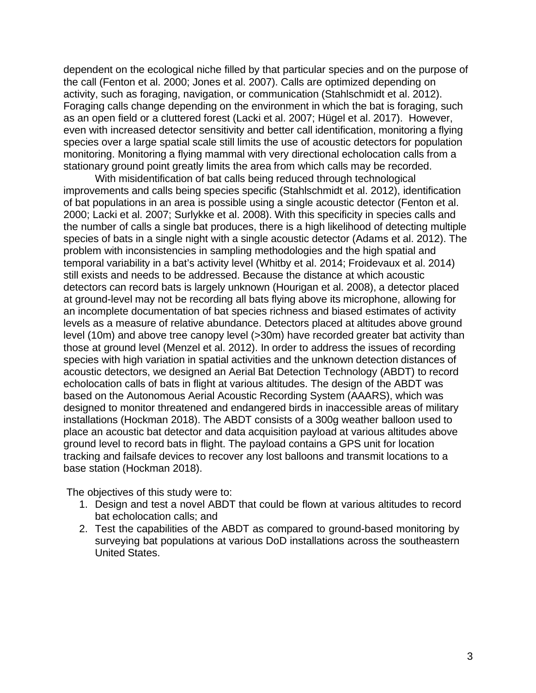dependent on the ecological niche filled by that particular species and on the purpose of the call (Fenton et al. 2000; Jones et al. 2007). Calls are optimized depending on activity, such as foraging, navigation, or communication (Stahlschmidt et al. 2012). Foraging calls change depending on the environment in which the bat is foraging, such as an open field or a cluttered forest (Lacki et al. 2007; Hügel et al. 2017). However, even with increased detector sensitivity and better call identification, monitoring a flying species over a large spatial scale still limits the use of acoustic detectors for population monitoring. Monitoring a flying mammal with very directional echolocation calls from a stationary ground point greatly limits the area from which calls may be recorded.

With misidentification of bat calls being reduced through technological improvements and calls being species specific (Stahlschmidt et al. 2012), identification of bat populations in an area is possible using a single acoustic detector (Fenton et al. 2000; Lacki et al. 2007; Surlykke et al. 2008). With this specificity in species calls and the number of calls a single bat produces, there is a high likelihood of detecting multiple species of bats in a single night with a single acoustic detector (Adams et al. 2012). The problem with inconsistencies in sampling methodologies and the high spatial and temporal variability in a bat's activity level (Whitby et al. 2014; Froidevaux et al. 2014) still exists and needs to be addressed. Because the distance at which acoustic detectors can record bats is largely unknown (Hourigan et al. 2008), a detector placed at ground-level may not be recording all bats flying above its microphone, allowing for an incomplete documentation of bat species richness and biased estimates of activity levels as a measure of relative abundance. Detectors placed at altitudes above ground level (10m) and above tree canopy level (>30m) have recorded greater bat activity than those at ground level (Menzel et al. 2012). In order to address the issues of recording species with high variation in spatial activities and the unknown detection distances of acoustic detectors, we designed an Aerial Bat Detection Technology (ABDT) to record echolocation calls of bats in flight at various altitudes. The design of the ABDT was based on the Autonomous Aerial Acoustic Recording System (AAARS), which was designed to monitor threatened and endangered birds in inaccessible areas of military installations (Hockman 2018). The ABDT consists of a 300g weather balloon used to place an acoustic bat detector and data acquisition payload at various altitudes above ground level to record bats in flight. The payload contains a GPS unit for location tracking and failsafe devices to recover any lost balloons and transmit locations to a base station (Hockman 2018).

The objectives of this study were to:

- 1. Design and test a novel ABDT that could be flown at various altitudes to record bat echolocation calls; and
- 2. Test the capabilities of the ABDT as compared to ground-based monitoring by surveying bat populations at various DoD installations across the southeastern United States.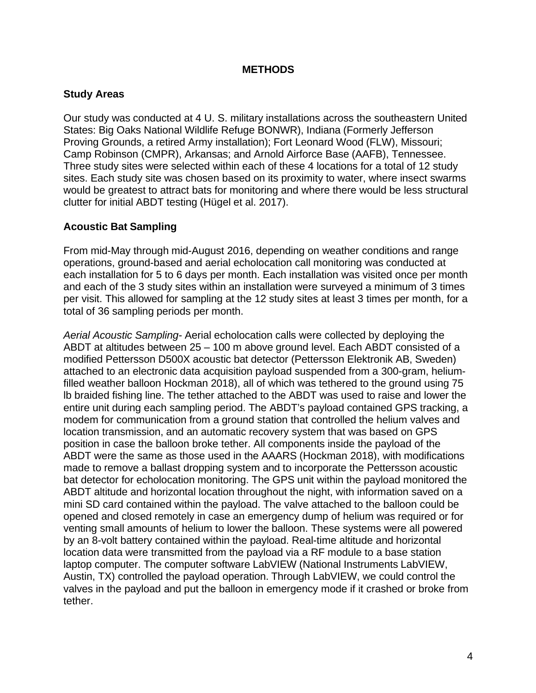#### **METHODS**

#### **Study Areas**

Our study was conducted at 4 U. S. military installations across the southeastern United States: Big Oaks National Wildlife Refuge BONWR), Indiana (Formerly Jefferson Proving Grounds, a retired Army installation); Fort Leonard Wood (FLW), Missouri; Camp Robinson (CMPR), Arkansas; and Arnold Airforce Base (AAFB), Tennessee. Three study sites were selected within each of these 4 locations for a total of 12 study sites. Each study site was chosen based on its proximity to water, where insect swarms would be greatest to attract bats for monitoring and where there would be less structural clutter for initial ABDT testing (Hügel et al. 2017).

#### **Acoustic Bat Sampling**

From mid-May through mid-August 2016, depending on weather conditions and range operations, ground-based and aerial echolocation call monitoring was conducted at each installation for 5 to 6 days per month. Each installation was visited once per month and each of the 3 study sites within an installation were surveyed a minimum of 3 times per visit. This allowed for sampling at the 12 study sites at least 3 times per month, for a total of 36 sampling periods per month.

*Aerial Acoustic Sampling-* Aerial echolocation calls were collected by deploying the ABDT at altitudes between 25 – 100 m above ground level. Each ABDT consisted of a modified Pettersson D500X acoustic bat detector (Pettersson Elektronik AB, Sweden) attached to an electronic data acquisition payload suspended from a 300-gram, heliumfilled weather balloon Hockman 2018), all of which was tethered to the ground using 75 lb braided fishing line. The tether attached to the ABDT was used to raise and lower the entire unit during each sampling period. The ABDT's payload contained GPS tracking, a modem for communication from a ground station that controlled the helium valves and location transmission, and an automatic recovery system that was based on GPS position in case the balloon broke tether. All components inside the payload of the ABDT were the same as those used in the AAARS (Hockman 2018), with modifications made to remove a ballast dropping system and to incorporate the Pettersson acoustic bat detector for echolocation monitoring. The GPS unit within the payload monitored the ABDT altitude and horizontal location throughout the night, with information saved on a mini SD card contained within the payload. The valve attached to the balloon could be opened and closed remotely in case an emergency dump of helium was required or for venting small amounts of helium to lower the balloon. These systems were all powered by an 8-volt battery contained within the payload. Real-time altitude and horizontal location data were transmitted from the payload via a RF module to a base station laptop computer. The computer software LabVIEW (National Instruments LabVIEW, Austin, TX) controlled the payload operation. Through LabVIEW, we could control the valves in the payload and put the balloon in emergency mode if it crashed or broke from tether.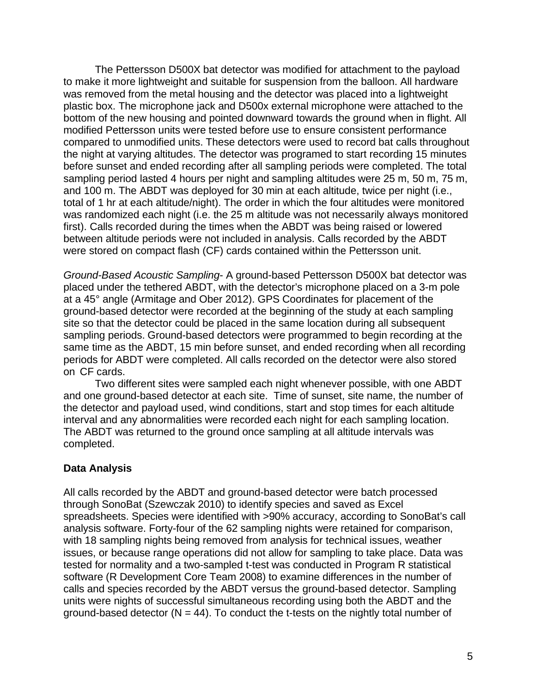The Pettersson D500X bat detector was modified for attachment to the payload to make it more lightweight and suitable for suspension from the balloon. All hardware was removed from the metal housing and the detector was placed into a lightweight plastic box. The microphone jack and D500x external microphone were attached to the bottom of the new housing and pointed downward towards the ground when in flight. All modified Pettersson units were tested before use to ensure consistent performance compared to unmodified units. These detectors were used to record bat calls throughout the night at varying altitudes. The detector was programed to start recording 15 minutes before sunset and ended recording after all sampling periods were completed. The total sampling period lasted 4 hours per night and sampling altitudes were 25 m, 50 m, 75 m, and 100 m. The ABDT was deployed for 30 min at each altitude, twice per night (i.e., total of 1 hr at each altitude/night). The order in which the four altitudes were monitored was randomized each night (i.e. the 25 m altitude was not necessarily always monitored first). Calls recorded during the times when the ABDT was being raised or lowered between altitude periods were not included in analysis. Calls recorded by the ABDT were stored on compact flash (CF) cards contained within the Pettersson unit.

*Ground-Based Acoustic Sampling*- A ground-based Pettersson D500X bat detector was placed under the tethered ABDT, with the detector's microphone placed on a 3-m pole at a 45° angle (Armitage and Ober 2012). GPS Coordinates for placement of the ground-based detector were recorded at the beginning of the study at each sampling site so that the detector could be placed in the same location during all subsequent sampling periods. Ground-based detectors were programmed to begin recording at the same time as the ABDT, 15 min before sunset, and ended recording when all recording periods for ABDT were completed. All calls recorded on the detector were also stored on CF cards.

Two different sites were sampled each night whenever possible, with one ABDT and one ground-based detector at each site. Time of sunset, site name, the number of the detector and payload used, wind conditions, start and stop times for each altitude interval and any abnormalities were recorded each night for each sampling location. The ABDT was returned to the ground once sampling at all altitude intervals was completed.

#### **Data Analysis**

All calls recorded by the ABDT and ground-based detector were batch processed through SonoBat (Szewczak 2010) to identify species and saved as Excel spreadsheets. Species were identified with >90% accuracy, according to SonoBat's call analysis software. Forty-four of the 62 sampling nights were retained for comparison, with 18 sampling nights being removed from analysis for technical issues, weather issues, or because range operations did not allow for sampling to take place. Data was tested for normality and a two-sampled t-test was conducted in Program R statistical software (R Development Core Team 2008) to examine differences in the number of calls and species recorded by the ABDT versus the ground-based detector. Sampling units were nights of successful simultaneous recording using both the ABDT and the ground-based detector  $(N = 44)$ . To conduct the t-tests on the nightly total number of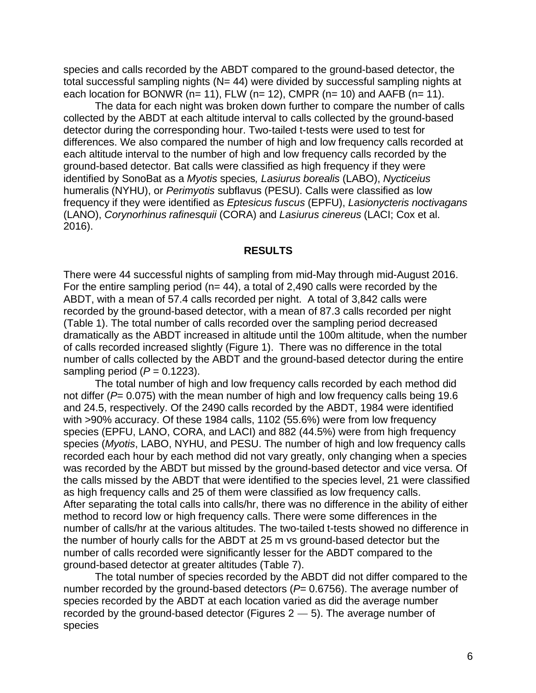species and calls recorded by the ABDT compared to the ground-based detector, the total successful sampling nights (N= 44) were divided by successful sampling nights at each location for BONWR ( $n= 11$ ), FLW ( $n= 12$ ), CMPR ( $n= 10$ ) and AAFB ( $n= 11$ ).

The data for each night was broken down further to compare the number of calls collected by the ABDT at each altitude interval to calls collected by the ground-based detector during the corresponding hour. Two-tailed t-tests were used to test for differences. We also compared the number of high and low frequency calls recorded at each altitude interval to the number of high and low frequency calls recorded by the ground-based detector. Bat calls were classified as high frequency if they were identified by SonoBat as a *Myotis* species*, Lasiurus borealis* (LABO), *Nycticeius* humeralis (NYHU), or *Perimyotis* subflavus (PESU). Calls were classified as low frequency if they were identified as *Eptesicus fuscus* (EPFU), *Lasionycteris noctivagans* (LANO), *Corynorhinus rafinesquii* (CORA) and *Lasiurus cinereus* (LACI; Cox et al. 2016).

#### **RESULTS**

There were 44 successful nights of sampling from mid-May through mid-August 2016. For the entire sampling period ( $n= 44$ ), a total of 2,490 calls were recorded by the ABDT, with a mean of 57.4 calls recorded per night. A total of 3,842 calls were recorded by the ground-based detector, with a mean of 87.3 calls recorded per night (Table 1). The total number of calls recorded over the sampling period decreased dramatically as the ABDT increased in altitude until the 100m altitude, when the number of calls recorded increased slightly (Figure 1). There was no difference in the total number of calls collected by the ABDT and the ground-based detector during the entire sampling period  $(P = 0.1223)$ .

The total number of high and low frequency calls recorded by each method did not differ (*P*= 0.075) with the mean number of high and low frequency calls being 19.6 and 24.5, respectively. Of the 2490 calls recorded by the ABDT, 1984 were identified with >90% accuracy. Of these 1984 calls, 1102 (55.6%) were from low frequency species (EPFU, LANO, CORA, and LACI) and 882 (44.5%) were from high frequency species (*Myotis*, LABO, NYHU, and PESU. The number of high and low frequency calls recorded each hour by each method did not vary greatly, only changing when a species was recorded by the ABDT but missed by the ground-based detector and vice versa. Of the calls missed by the ABDT that were identified to the species level, 21 were classified as high frequency calls and 25 of them were classified as low frequency calls. After separating the total calls into calls/hr, there was no difference in the ability of either method to record low or high frequency calls. There were some differences in the number of calls/hr at the various altitudes. The two-tailed t-tests showed no difference in the number of hourly calls for the ABDT at 25 m vs ground-based detector but the number of calls recorded were significantly lesser for the ABDT compared to the ground-based detector at greater altitudes (Table 7).

The total number of species recorded by the ABDT did not differ compared to the number recorded by the ground-based detectors ( $P= 0.6756$ ). The average number of species recorded by the ABDT at each location varied as did the average number recorded by the ground-based detector (Figures  $2 - 5$ ). The average number of species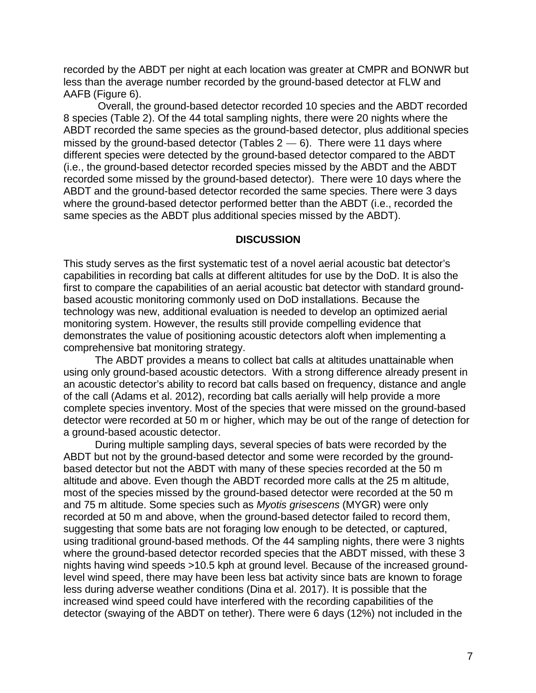recorded by the ABDT per night at each location was greater at CMPR and BONWR but less than the average number recorded by the ground-based detector at FLW and AAFB (Figure 6).

Overall, the ground-based detector recorded 10 species and the ABDT recorded 8 species (Table 2). Of the 44 total sampling nights, there were 20 nights where the ABDT recorded the same species as the ground-based detector, plus additional species missed by the ground-based detector (Tables  $2 - 6$ ). There were 11 days where different species were detected by the ground-based detector compared to the ABDT (i.e., the ground-based detector recorded species missed by the ABDT and the ABDT recorded some missed by the ground-based detector). There were 10 days where the ABDT and the ground-based detector recorded the same species. There were 3 days where the ground-based detector performed better than the ABDT (i.e., recorded the same species as the ABDT plus additional species missed by the ABDT).

#### **DISCUSSION**

This study serves as the first systematic test of a novel aerial acoustic bat detector's capabilities in recording bat calls at different altitudes for use by the DoD. It is also the first to compare the capabilities of an aerial acoustic bat detector with standard groundbased acoustic monitoring commonly used on DoD installations. Because the technology was new, additional evaluation is needed to develop an optimized aerial monitoring system. However, the results still provide compelling evidence that demonstrates the value of positioning acoustic detectors aloft when implementing a comprehensive bat monitoring strategy.

The ABDT provides a means to collect bat calls at altitudes unattainable when using only ground-based acoustic detectors. With a strong difference already present in an acoustic detector's ability to record bat calls based on frequency, distance and angle of the call (Adams et al. 2012), recording bat calls aerially will help provide a more complete species inventory. Most of the species that were missed on the ground-based detector were recorded at 50 m or higher, which may be out of the range of detection for a ground-based acoustic detector.

During multiple sampling days, several species of bats were recorded by the ABDT but not by the ground-based detector and some were recorded by the groundbased detector but not the ABDT with many of these species recorded at the 50 m altitude and above. Even though the ABDT recorded more calls at the 25 m altitude, most of the species missed by the ground-based detector were recorded at the 50 m and 75 m altitude. Some species such as *Myotis grisescens* (MYGR) were only recorded at 50 m and above, when the ground-based detector failed to record them, suggesting that some bats are not foraging low enough to be detected, or captured, using traditional ground-based methods. Of the 44 sampling nights, there were 3 nights where the ground-based detector recorded species that the ABDT missed, with these 3 nights having wind speeds >10.5 kph at ground level. Because of the increased groundlevel wind speed, there may have been less bat activity since bats are known to forage less during adverse weather conditions (Dina et al. 2017). It is possible that the increased wind speed could have interfered with the recording capabilities of the detector (swaying of the ABDT on tether). There were 6 days (12%) not included in the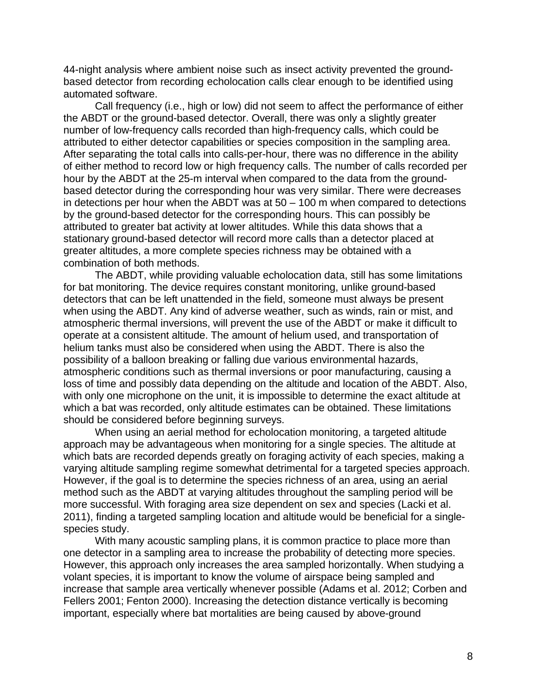44-night analysis where ambient noise such as insect activity prevented the groundbased detector from recording echolocation calls clear enough to be identified using automated software.

Call frequency (i.e., high or low) did not seem to affect the performance of either the ABDT or the ground-based detector. Overall, there was only a slightly greater number of low-frequency calls recorded than high-frequency calls, which could be attributed to either detector capabilities or species composition in the sampling area. After separating the total calls into calls-per-hour, there was no difference in the ability of either method to record low or high frequency calls. The number of calls recorded per hour by the ABDT at the 25-m interval when compared to the data from the groundbased detector during the corresponding hour was very similar. There were decreases in detections per hour when the ABDT was at  $50 - 100$  m when compared to detections by the ground-based detector for the corresponding hours. This can possibly be attributed to greater bat activity at lower altitudes. While this data shows that a stationary ground-based detector will record more calls than a detector placed at greater altitudes, a more complete species richness may be obtained with a combination of both methods.

The ABDT, while providing valuable echolocation data, still has some limitations for bat monitoring. The device requires constant monitoring, unlike ground-based detectors that can be left unattended in the field, someone must always be present when using the ABDT. Any kind of adverse weather, such as winds, rain or mist, and atmospheric thermal inversions, will prevent the use of the ABDT or make it difficult to operate at a consistent altitude. The amount of helium used, and transportation of helium tanks must also be considered when using the ABDT. There is also the possibility of a balloon breaking or falling due various environmental hazards, atmospheric conditions such as thermal inversions or poor manufacturing, causing a loss of time and possibly data depending on the altitude and location of the ABDT. Also, with only one microphone on the unit, it is impossible to determine the exact altitude at which a bat was recorded, only altitude estimates can be obtained. These limitations should be considered before beginning surveys.

When using an aerial method for echolocation monitoring, a targeted altitude approach may be advantageous when monitoring for a single species. The altitude at which bats are recorded depends greatly on foraging activity of each species, making a varying altitude sampling regime somewhat detrimental for a targeted species approach. However, if the goal is to determine the species richness of an area, using an aerial method such as the ABDT at varying altitudes throughout the sampling period will be more successful. With foraging area size dependent on sex and species (Lacki et al. 2011), finding a targeted sampling location and altitude would be beneficial for a singlespecies study.

With many acoustic sampling plans, it is common practice to place more than one detector in a sampling area to increase the probability of detecting more species. However, this approach only increases the area sampled horizontally. When studying a volant species, it is important to know the volume of airspace being sampled and increase that sample area vertically whenever possible (Adams et al. 2012; Corben and Fellers 2001; Fenton 2000). Increasing the detection distance vertically is becoming important, especially where bat mortalities are being caused by above-ground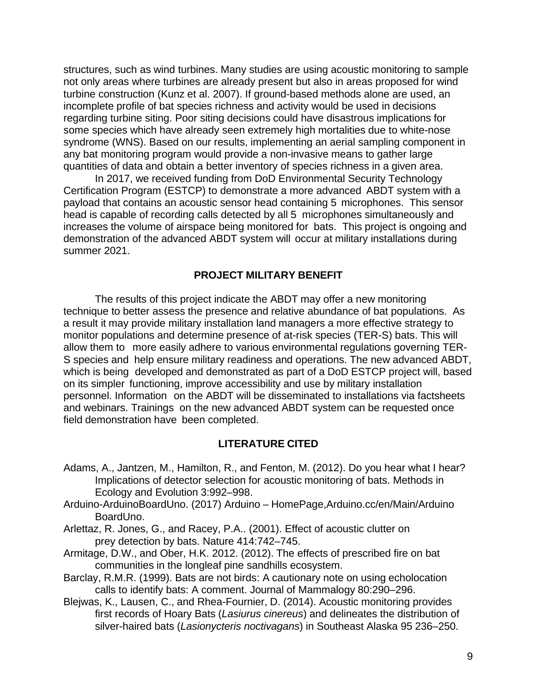structures, such as wind turbines. Many studies are using acoustic monitoring to sample not only areas where turbines are already present but also in areas proposed for wind turbine construction (Kunz et al. 2007). If ground-based methods alone are used, an incomplete profile of bat species richness and activity would be used in decisions regarding turbine siting. Poor siting decisions could have disastrous implications for some species which have already seen extremely high mortalities due to white-nose syndrome (WNS). Based on our results, implementing an aerial sampling component in any bat monitoring program would provide a non-invasive means to gather large quantities of data and obtain a better inventory of species richness in a given area.

In 2017, we received funding from DoD Environmental Security Technology Certification Program (ESTCP) to demonstrate a more advanced ABDT system with a payload that contains an acoustic sensor head containing 5 microphones. This sensor head is capable of recording calls detected by all 5 microphones simultaneously and increases the volume of airspace being monitored for bats. This project is ongoing and demonstration of the advanced ABDT system will occur at military installations during summer 2021.

#### **PROJECT MILITARY BENEFIT**

The results of this project indicate the ABDT may offer a new monitoring technique to better assess the presence and relative abundance of bat populations. As a result it may provide military installation land managers a more effective strategy to monitor populations and determine presence of at-risk species (TER-S) bats. This will allow them to more easily adhere to various environmental regulations governing TER-S species and help ensure military readiness and operations. The new advanced ABDT, which is being developed and demonstrated as part of a DoD ESTCP project will, based on its simpler functioning, improve accessibility and use by military installation personnel. Information on the ABDT will be disseminated to installations via factsheets and webinars. Trainings on the new advanced ABDT system can be requested once field demonstration have been completed.

#### **LITERATURE CITED**

- Adams, A., Jantzen, M., Hamilton, R., and Fenton, M. (2012). Do you hear what I hear? Implications of detector selection for acoustic monitoring of bats. Methods in Ecology and Evolution 3:992–998.
- Arduino-ArduinoBoardUno. (2017) Arduino HomePage,Arduino.cc/en/Main/Arduino BoardUno.
- Arlettaz, R. Jones, G., and Racey, P.A.. (2001). Effect of acoustic clutter on prey detection by bats. Nature 414:742–745.
- Armitage, D.W., and Ober, H.K. 2012. (2012). The effects of prescribed fire on bat communities in the longleaf pine sandhills ecosystem.
- Barclay, R.M.R. (1999). Bats are not birds: A cautionary note on using echolocation calls to identify bats: A comment. Journal of Mammalogy 80:290–296.
- Blejwas, K., Lausen, C., and Rhea-Fournier, D. (2014). Acoustic monitoring provides first records of Hoary Bats (*Lasiurus cinereus*) and delineates the distribution of silver-haired bats (*Lasionycteris noctivagans*) in Southeast Alaska 95 236–250.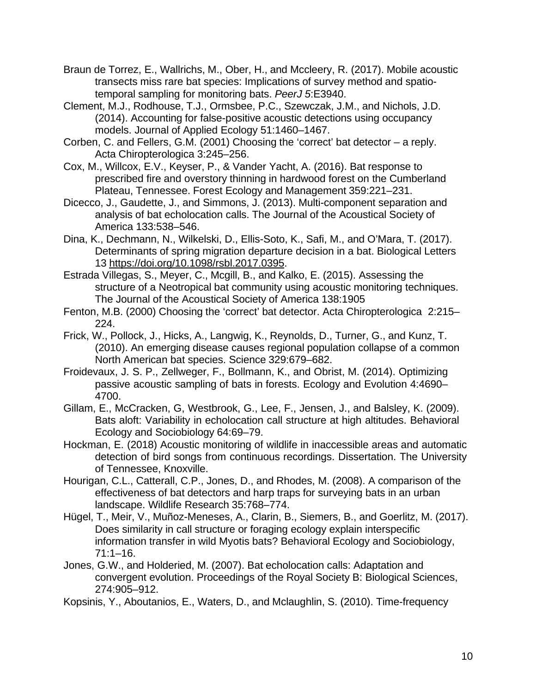- Braun de Torrez, E., Wallrichs, M., Ober, H., and Mccleery, R. (2017). Mobile acoustic transects miss rare bat species: Implications of survey method and spatiotemporal sampling for monitoring bats. *PeerJ 5*:E3940.
- Clement, M.J., Rodhouse, T.J., Ormsbee, P.C., Szewczak, J.M., and Nichols, J.D. (2014). Accounting for false-positive acoustic detections using occupancy models. Journal of Applied Ecology 51:1460–1467.
- Corben, C. and Fellers, G.M. (2001) Choosing the 'correct' bat detector a reply. Acta Chiropterologica 3:245–256.
- Cox, M., Willcox, E.V., Keyser, P., & Vander Yacht, A. (2016). Bat response to prescribed fire and overstory thinning in hardwood forest on the Cumberland Plateau, Tennessee. Forest Ecology and Management 359:221–231.
- Dicecco, J., Gaudette, J., and Simmons, J. (2013). Multi-component separation and analysis of bat echolocation calls. The Journal of the Acoustical Society of America 133:538–546.
- Dina, K., Dechmann, N., Wilkelski, D., Ellis-Soto, K., Safi, M., and O'Mara, T. (2017). Determinants of spring migration departure decision in a bat. Biological Letters 13 https://doi.org/10.1098/rsbl.2017.0395.
- Estrada Villegas, S., Meyer, C., Mcgill, B., and Kalko, E. (2015). Assessing the structure of a Neotropical bat community using acoustic monitoring techniques. The Journal of the Acoustical Society of America 138:1905
- Fenton, M.B. (2000) Choosing the 'correct' bat detector. Acta Chiropterologica 2:215– 224.
- Frick, W., Pollock, J., Hicks, A., Langwig, K., Reynolds, D., Turner, G., and Kunz, T. (2010). An emerging disease causes regional population collapse of a common North American bat species. Science 329:679–682.
- Froidevaux, J. S. P., Zellweger, F., Bollmann, K., and Obrist, M. (2014). Optimizing passive acoustic sampling of bats in forests. Ecology and Evolution 4:4690– 4700.
- Gillam, E., McCracken, G, Westbrook, G., Lee, F., Jensen, J., and Balsley, K. (2009). Bats aloft: Variability in echolocation call structure at high altitudes. Behavioral Ecology and Sociobiology 64:69–79.
- Hockman, E. (2018) Acoustic monitoring of wildlife in inaccessible areas and automatic detection of bird songs from continuous recordings. Dissertation. The University of Tennessee, Knoxville.
- Hourigan, C.L., Catterall, C.P., Jones, D., and Rhodes, M. (2008). A comparison of the effectiveness of bat detectors and harp traps for surveying bats in an urban landscape. Wildlife Research 35:768–774.
- Hügel, T., Meir, V., Muñoz-Meneses, A., Clarin, B., Siemers, B., and Goerlitz, M. (2017). Does similarity in call structure or foraging ecology explain interspecific information transfer in wild Myotis bats? Behavioral Ecology and Sociobiology, 71:1–16.
- Jones, G.W., and Holderied, M. (2007). Bat echolocation calls: Adaptation and convergent evolution. Proceedings of the Royal Society B: Biological Sciences, 274:905–912.
- Kopsinis, Y., Aboutanios, E., Waters, D., and Mclaughlin, S. (2010). Time-frequency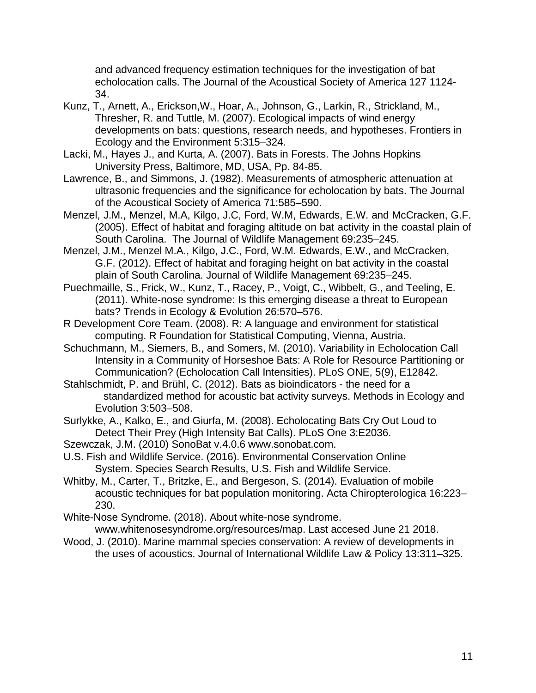and advanced frequency estimation techniques for the investigation of bat echolocation calls. The Journal of the Acoustical Society of America 127 1124- 34.

- Kunz, T., Arnett, A., Erickson,W., Hoar, A., Johnson, G., Larkin, R., Strickland, M., Thresher, R. and Tuttle, M. (2007). Ecological impacts of wind energy developments on bats: questions, research needs, and hypotheses. Frontiers in Ecology and the Environment 5:315–324.
- Lacki, M., Hayes J., and Kurta, A. (2007). Bats in Forests. The Johns Hopkins University Press, Baltimore, MD, USA, Pp. 84-85.
- Lawrence, B., and Simmons, J. (1982). Measurements of atmospheric attenuation at ultrasonic frequencies and the significance for echolocation by bats. The Journal of the Acoustical Society of America 71:585–590.
- Menzel, J.M., Menzel, M.A, Kilgo, J.C, Ford, W.M, Edwards, E.W. and McCracken, G.F. (2005). Effect of habitat and foraging altitude on bat activity in the coastal plain of South Carolina. The Journal of Wildlife Management 69:235–245.
- Menzel, J.M., Menzel M.A., Kilgo, J.C., Ford, W.M. Edwards, E.W., and McCracken, G.F. (2012). Effect of habitat and foraging height on bat activity in the coastal plain of South Carolina. Journal of Wildlife Management 69:235–245.
- Puechmaille, S., Frick, W., Kunz, T., Racey, P., Voigt, C., Wibbelt, G., and Teeling, E. (2011). White-nose syndrome: Is this emerging disease a threat to European bats? Trends in Ecology & Evolution 26:570–576.
- R Development Core Team. (2008). R: A language and environment for statistical computing. R Foundation for Statistical Computing, Vienna, Austria.
- Schuchmann, M., Siemers, B., and Somers, M. (2010). Variability in Echolocation Call Intensity in a Community of Horseshoe Bats: A Role for Resource Partitioning or Communication? (Echolocation Call Intensities). PLoS ONE, 5(9), E12842.
- Stahlschmidt, P. and Brühl, C. (2012). Bats as bioindicators the need for a standardized method for acoustic bat activity surveys. Methods in Ecology and Evolution 3:503–508.
- Surlykke, A., Kalko, E., and Giurfa, M. (2008). Echolocating Bats Cry Out Loud to Detect Their Prey (High Intensity Bat Calls). PLoS One 3:E2036.
- Szewczak, J.M. (2010) SonoBat v.4.0.6 [www.sonobat.com.](http://www.sonobat.com/)
- U.S. Fish and Wildlife Service. (2016). Environmental Conservation Online System. Species Search Results, U.S. Fish and Wildlife Service.
- Whitby, M., Carter, T., Britzke, E., and Bergeson, S. (2014). Evaluation of mobile acoustic techniques for bat population monitoring. Acta Chiropterologica 16:223– 230.
- White-Nose Syndrome. (2018). About white-nose syndrome. [www.whitenosesyndrome.org/resources/map.](http://www.whitenosesyndrome.org/resources/map) Last accesed June 21 2018.
- Wood, J. (2010). Marine mammal species conservation: A review of developments in the uses of acoustics. Journal of International Wildlife Law & Policy 13:311–325.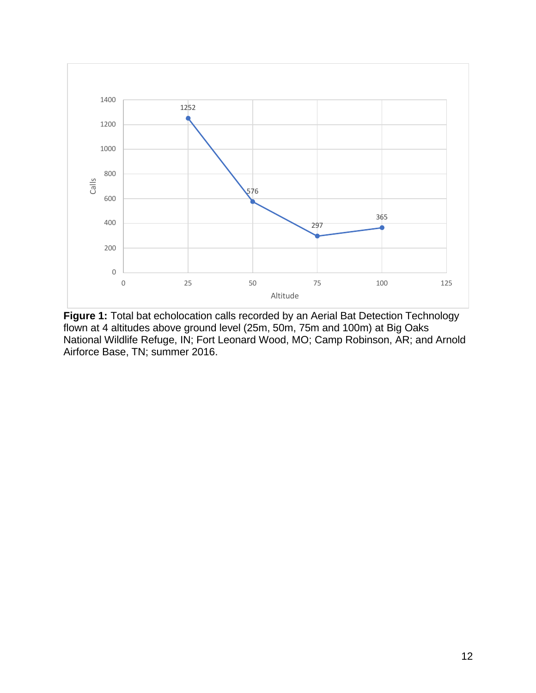

**Figure 1:** Total bat echolocation calls recorded by an Aerial Bat Detection Technology flown at 4 altitudes above ground level (25m, 50m, 75m and 100m) at Big Oaks National Wildlife Refuge, IN; Fort Leonard Wood, MO; Camp Robinson, AR; and Arnold Airforce Base, TN; summer 2016.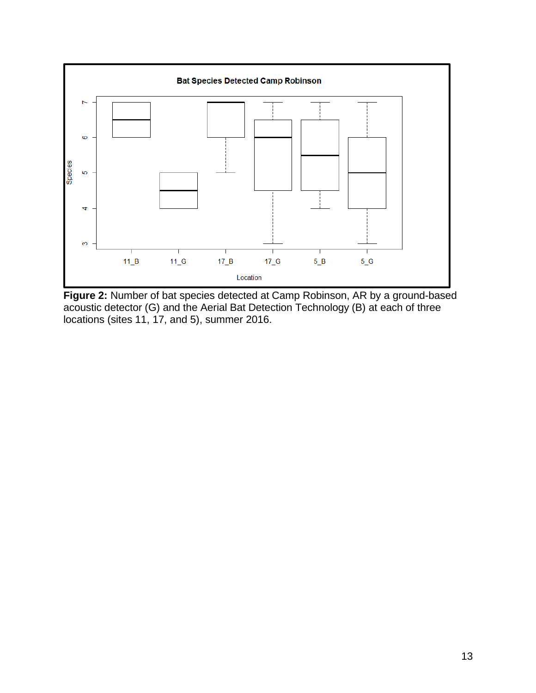

**Figure 2:** Number of bat species detected at Camp Robinson, AR by a ground-based acoustic detector (G) and the Aerial Bat Detection Technology (B) at each of three locations (sites 11, 17, and 5), summer 2016.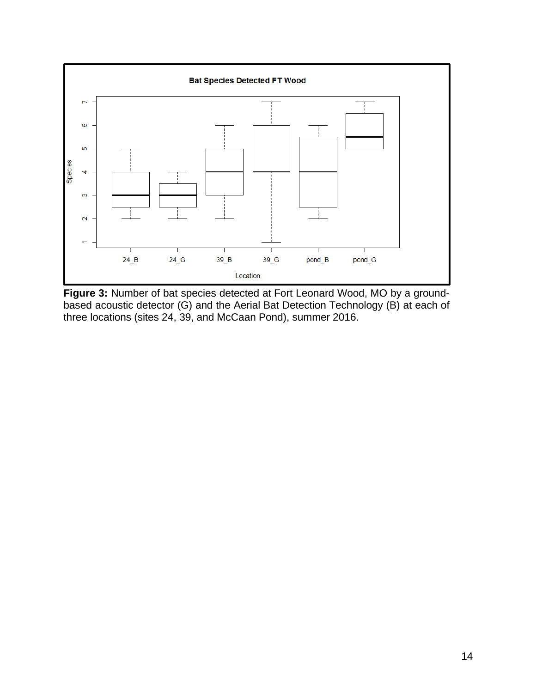

**Figure 3:** Number of bat species detected at Fort Leonard Wood, MO by a groundbased acoustic detector (G) and the Aerial Bat Detection Technology (B) at each of three locations (sites 24, 39, and McCaan Pond), summer 2016.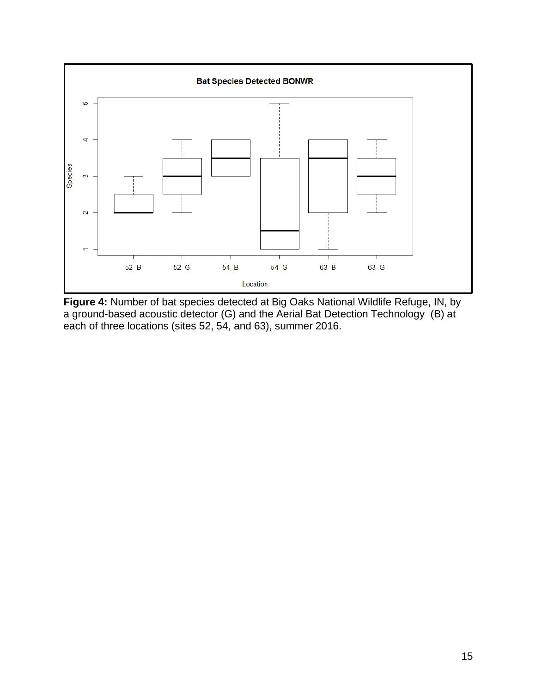

**Figure 4:** Number of bat species detected at Big Oaks National Wildlife Refuge, IN, by a ground-based acoustic detector (G) and the Aerial Bat Detection Technology (B) at each of three locations (sites 52, 54, and 63), summer 2016.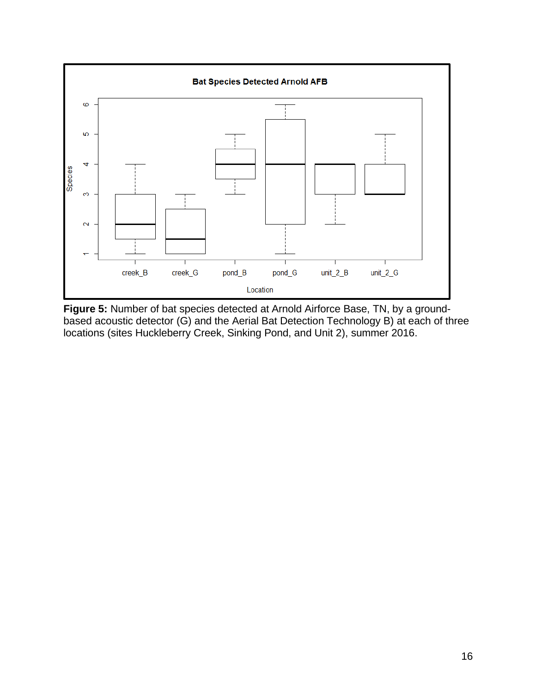

**Figure 5:** Number of bat species detected at Arnold Airforce Base, TN, by a groundbased acoustic detector (G) and the Aerial Bat Detection Technology B) at each of three locations (sites Huckleberry Creek, Sinking Pond, and Unit 2), summer 2016.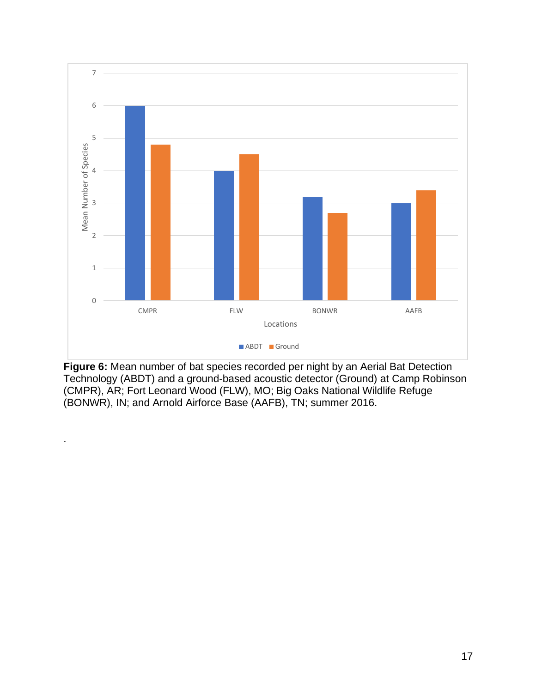

**Figure 6:** Mean number of bat species recorded per night by an Aerial Bat Detection Technology (ABDT) and a ground-based acoustic detector (Ground) at Camp Robinson (CMPR), AR; Fort Leonard Wood (FLW), MO; Big Oaks National Wildlife Refuge (BONWR), IN; and Arnold Airforce Base (AAFB), TN; summer 2016.

.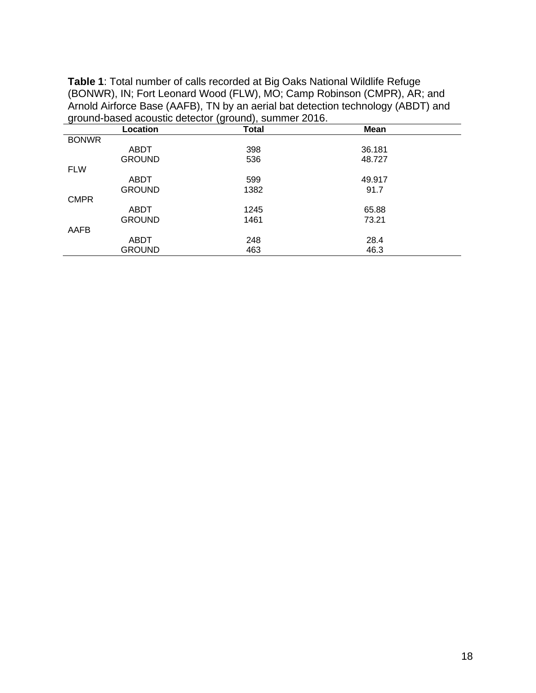**Table 1**: Total number of calls recorded at Big Oaks National Wildlife Refuge (BONWR), IN; Fort Leonard Wood (FLW), MO; Camp Robinson (CMPR), AR; and Arnold Airforce Base (AAFB), TN by an aerial bat detection technology (ABDT) and ground-based acoustic detector (ground), summer 2016.

| <u>ت</u>     | Location      | v<br>- , , - -<br>Total | <b>Mean</b> |  |
|--------------|---------------|-------------------------|-------------|--|
| <b>BONWR</b> |               |                         |             |  |
|              | ABDT          | 398                     | 36.181      |  |
|              | <b>GROUND</b> | 536                     | 48.727      |  |
| <b>FLW</b>   |               |                         |             |  |
|              | ABDT          | 599                     | 49.917      |  |
|              | <b>GROUND</b> | 1382                    | 91.7        |  |
| <b>CMPR</b>  |               |                         |             |  |
|              | ABDT          | 1245                    | 65.88       |  |
|              | <b>GROUND</b> | 1461                    | 73.21       |  |
| AAFB         |               |                         |             |  |
|              | ABDT          | 248                     | 28.4        |  |
|              | <b>GROUND</b> | 463                     | 46.3        |  |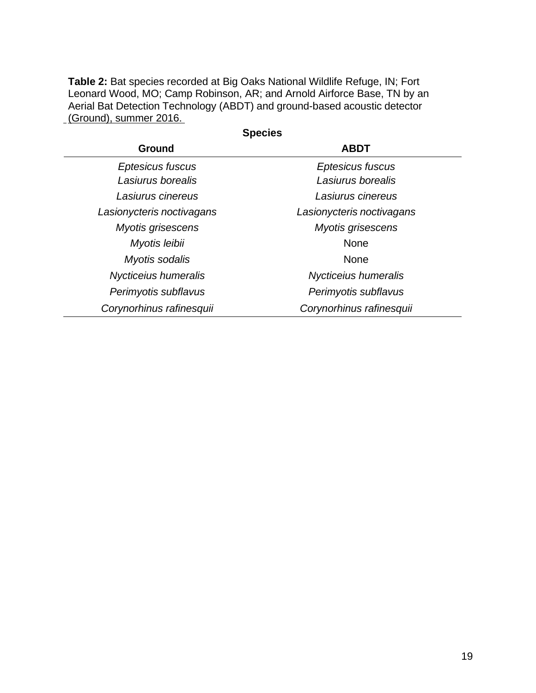**Table 2:** Bat species recorded at Big Oaks National Wildlife Refuge, IN; Fort Leonard Wood, MO; Camp Robinson, AR; and Arnold Airforce Base, TN by an Aerial Bat Detection Technology (ABDT) and ground-based acoustic detector (Ground), summer 2016.

| oheries                   |                           |  |  |
|---------------------------|---------------------------|--|--|
| <b>Ground</b>             | <b>ABDT</b>               |  |  |
| Eptesicus fuscus          | Eptesicus fuscus          |  |  |
| Lasiurus borealis         | Lasiurus borealis         |  |  |
| Lasiurus cinereus         | Lasiurus cinereus         |  |  |
| Lasionycteris noctivagans | Lasionycteris noctivagans |  |  |
| Myotis grisescens         | <b>Myotis grisescens</b>  |  |  |
| Myotis leibii             | <b>None</b>               |  |  |
| Myotis sodalis            | <b>None</b>               |  |  |
| Nycticeius humeralis      | Nycticeius humeralis      |  |  |
| Perimyotis subflavus      | Perimyotis subflavus      |  |  |
| Corynorhinus rafinesquii  | Corynorhinus rafinesquii  |  |  |

**Species**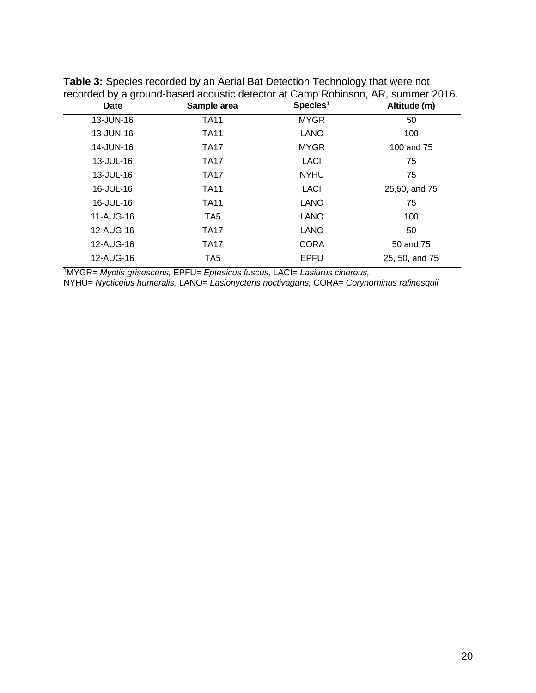| <b>Date</b> | Sample area     | Species <sup>1</sup> | Altitude (m)   |
|-------------|-----------------|----------------------|----------------|
| 13-JUN-16   | <b>TA11</b>     | <b>MYGR</b>          | 50             |
| 13-JUN-16   | <b>TA11</b>     | <b>LANO</b>          | 100            |
| 14-JUN-16   | <b>TA17</b>     | <b>MYGR</b>          | 100 and 75     |
| 13-JUL-16   | <b>TA17</b>     | LACI                 | 75             |
| 13-JUL-16   | <b>TA17</b>     | <b>NYHU</b>          | 75             |
| 16-JUL-16   | <b>TA11</b>     | LACI                 | 25,50, and 75  |
| 16-JUL-16   | <b>TA11</b>     | <b>LANO</b>          | 75             |
| 11-AUG-16   | TA <sub>5</sub> | <b>LANO</b>          | 100            |
| 12-AUG-16   | <b>TA17</b>     | <b>LANO</b>          | 50             |
| 12-AUG-16   | <b>TA17</b>     | <b>CORA</b>          | 50 and 75      |
| 12-AUG-16   | TA <sub>5</sub> | <b>EPFU</b>          | 25, 50, and 75 |

**Table 3:** Species recorded by an Aerial Bat Detection Technology that were not recorded by a ground-based acoustic detector at Camp Robinson, AR, summer 2016.

1MYGR= *Myotis grisescens,* EPFU*= Eptesicus fuscus,* LACI= *Lasiurus cinereus,*

NYHU= *Nycticeius humeralis,* LANO= *Lasionycteris noctivagans,* CORA= *Corynorhinus rafinesquii*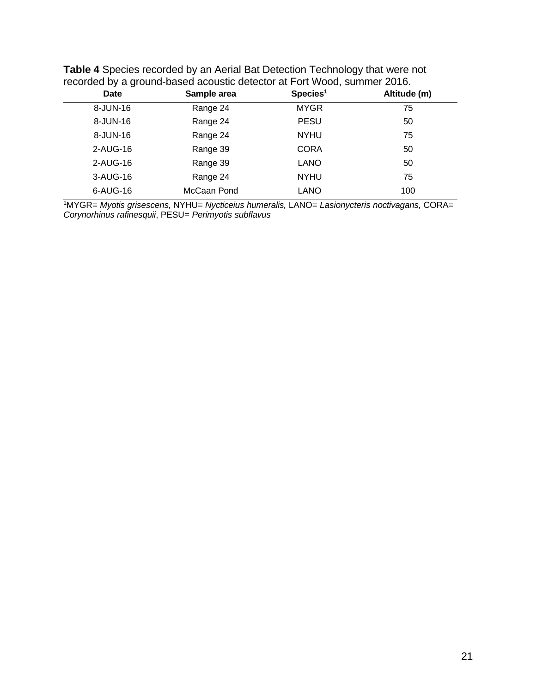| <b>Date</b> | Sample area | Species <sup>1</sup> | Altitude (m) |
|-------------|-------------|----------------------|--------------|
| 8-JUN-16    | Range 24    | <b>MYGR</b>          | 75           |
| 8-JUN-16    | Range 24    | <b>PESU</b>          | 50           |
| 8-JUN-16    | Range 24    | <b>NYHU</b>          | 75           |
| 2-AUG-16    | Range 39    | <b>CORA</b>          | 50           |
| 2-AUG-16    | Range 39    | <b>LANO</b>          | 50           |
| 3-AUG-16    | Range 24    | <b>NYHU</b>          | 75           |
| 6-AUG-16    | McCaan Pond | <b>LANO</b>          | 100          |

**Table 4** Species recorded by an Aerial Bat Detection Technology that were not recorded by a ground-based acoustic detector at Fort Wood, summer 2016.

1MYGR= *Myotis grisescens,* NYHU= *Nycticeius humeralis,* LANO= *Lasionycteris noctivagans,* CORA= *Corynorhinus rafinesquii*, PESU= *Perimyotis subflavus*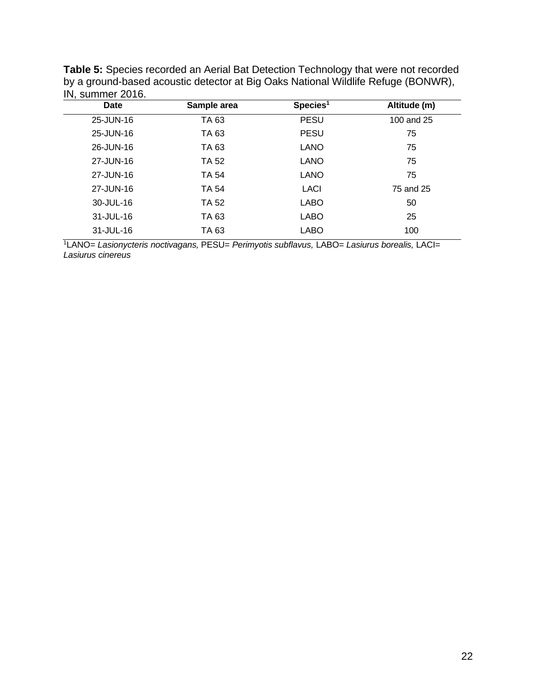| $\cdots$ , ourned zo to: |              |                      |              |
|--------------------------|--------------|----------------------|--------------|
| <b>Date</b>              | Sample area  | Species <sup>1</sup> | Altitude (m) |
| 25-JUN-16                | TA 63        | <b>PESU</b>          | 100 and 25   |
| 25-JUN-16                | TA 63        | <b>PESU</b>          | 75           |
| 26-JUN-16                | TA 63        | <b>LANO</b>          | 75           |
| 27-JUN-16                | TA 52        | <b>LANO</b>          | 75           |
| 27-JUN-16                | <b>TA 54</b> | <b>LANO</b>          | 75           |
| 27-JUN-16                | TA 54        | LACI                 | 75 and 25    |
| 30-JUL-16                | TA 52        | LABO                 | 50           |
| 31-JUL-16                | TA 63        | LABO                 | 25           |
| 31-JUL-16                | TA 63        | <b>LABO</b>          | 100          |
|                          |              |                      |              |

**Table 5:** Species recorded an Aerial Bat Detection Technology that were not recorded by a ground-based acoustic detector at Big Oaks National Wildlife Refuge (BONWR), IN, summer 2016.

1LANO= *Lasionycteris noctivagans,* PESU= *Perimyotis subflavus,* LABO= *Lasiurus borealis,* LACI= *Lasiurus cinereus*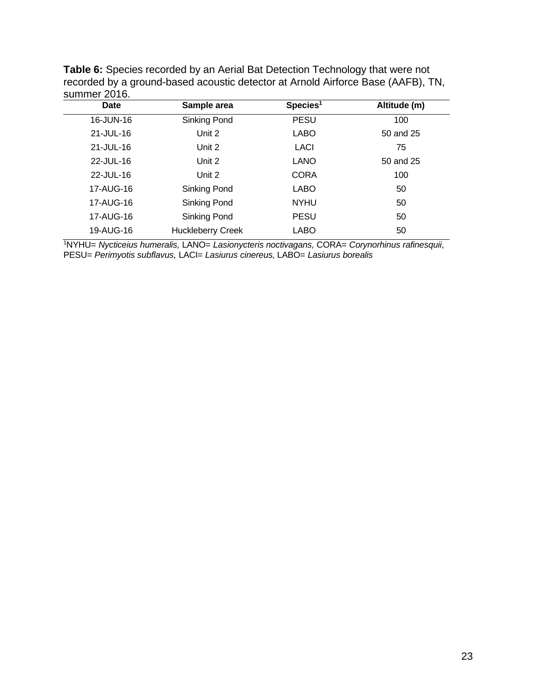| <b>Table 6:</b> Species recorded by an Aerial Bat Detection Technology that were not |
|--------------------------------------------------------------------------------------|
| recorded by a ground-based acoustic detector at Arnold Airforce Base (AAFB), TN,     |
| summer 2016.                                                                         |

| Date      | Sample area              | Species <sup>1</sup> | Altitude (m) |
|-----------|--------------------------|----------------------|--------------|
| 16-JUN-16 | Sinking Pond             | <b>PESU</b>          | 100          |
| 21-JUL-16 | Unit 2                   | LABO                 | 50 and 25    |
| 21-JUL-16 | Unit 2                   | LACI                 | 75           |
| 22-JUL-16 | Unit 2                   | <b>LANO</b>          | 50 and 25    |
| 22-JUL-16 | Unit 2                   | <b>CORA</b>          | 100          |
| 17-AUG-16 | Sinking Pond             | <b>LABO</b>          | 50           |
| 17-AUG-16 | Sinking Pond             | <b>NYHU</b>          | 50           |
| 17-AUG-16 | Sinking Pond             | <b>PESU</b>          | 50           |
| 19-AUG-16 | <b>Huckleberry Creek</b> | LABO                 | 50           |
|           |                          |                      |              |

1 NYHU= *Nycticeius humeralis,* LANO= *Lasionycteris noctivagans,* CORA= *Corynorhinus rafinesquii*, PESU= *Perimyotis subflavus,* LACI= *Lasiurus cinereus,* LABO= *Lasiurus borealis*